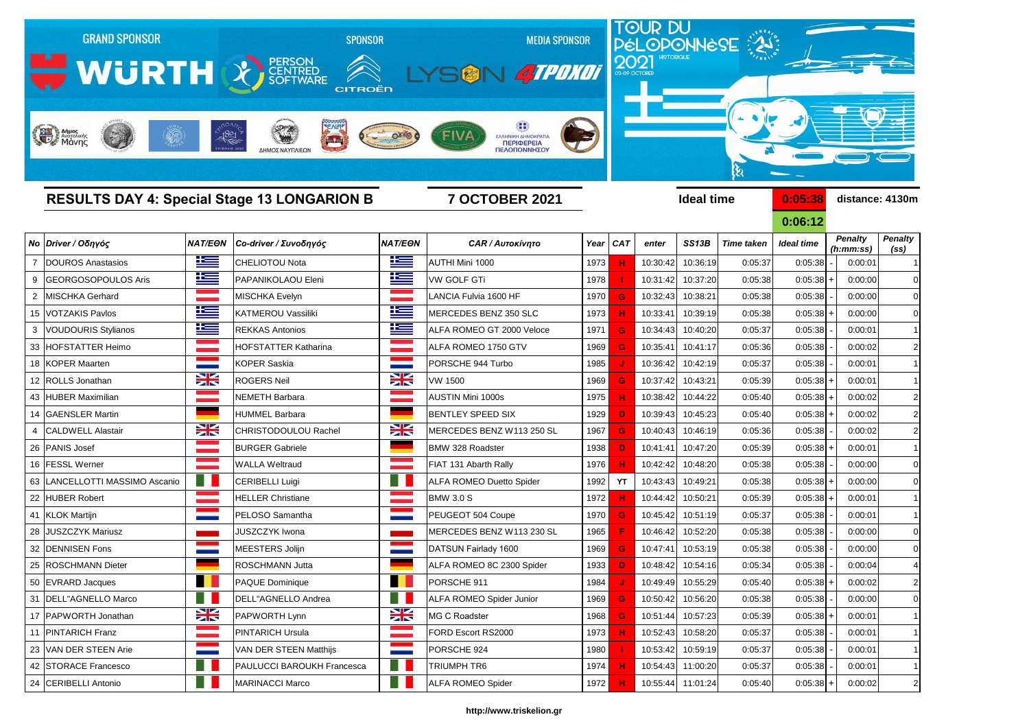

|    | <b>RESULTS DAY 4: Special Stage 13 LONGARION B</b> |                 | <b>7 OCTOBER 2021</b>             |                                                                                                                                                                                                                                  |                                 | <b>Ideal time</b> |           |          |                   |                   | 0:05:38<br>distance: 4130m |                             |         |                        |
|----|----------------------------------------------------|-----------------|-----------------------------------|----------------------------------------------------------------------------------------------------------------------------------------------------------------------------------------------------------------------------------|---------------------------------|-------------------|-----------|----------|-------------------|-------------------|----------------------------|-----------------------------|---------|------------------------|
|    |                                                    |                 |                                   |                                                                                                                                                                                                                                  |                                 |                   |           |          |                   |                   | 0:06:12                    |                             |         |                        |
|    | Νο Driver / Οδηγός                                 | <b>NAT/EON</b>  | Co-driver / Συνοδηγός             | <b>NAT/EON</b>                                                                                                                                                                                                                   | <b>CAR / Αυτοκίνητο</b>         |                   | Year CAT  | enter    | SS13B             | <b>Time taken</b> | <b>Ideal time</b>          | <b>Penalty</b><br>(h:mm:ss) |         | <b>Penalty</b><br>(SS) |
|    | DOUROS Anastasios                                  | <u>ik a</u>     | <b>CHELIOTOU Nota</b>             | ١Œ                                                                                                                                                                                                                               | AUTHI Mini 1000                 | 1973              |           | 10:30:42 | 10:36:19          | 0:05:37           | 0:05:38                    |                             | 0:00:01 |                        |
|    | <b>GEORGOSOPOULOS Aris</b>                         | <u>ik s</u>     | PAPANIKOLAOU Eleni                | <u>ik s</u>                                                                                                                                                                                                                      | <b>VW GOLF GTi</b>              | 1978              |           | 10:31:42 | 10:37:20          | 0:05:38           | $0:05:38$ +                |                             | 0:00:00 | C                      |
|    | MISCHKA Gerhard                                    |                 | MISCHKA Evelyn                    | <b>State State</b>                                                                                                                                                                                                               | LANCIA Fulvia 1600 HF           | 1970              | G         | 10:32:43 | 10:38:21          | 0:05:38           | 0:05:38                    |                             | 0:00:00 |                        |
|    | 15   VOTZAKIS Pavlos                               | <u>is </u>      | KATMEROU Vassiliki                | $\equiv$                                                                                                                                                                                                                         | MERCEDES BENZ 350 SLC           | 1973              |           | 10:33:41 | 10:39:19          | 0:05:38           | $0:05:38$ +                |                             | 0:00:00 |                        |
|    | <b>VOUDOURIS Stylianos</b>                         | ٢               | <b>REKKAS Antonios</b>            | 些                                                                                                                                                                                                                                | ALFA ROMEO GT 2000 Veloce       | 1971              | G         | 10:34:43 | 10:40:20          | 0:05:37           | 0:05:38                    |                             | 0:00:01 |                        |
| 33 | <b>HOFSTATTER Heimo</b>                            |                 | <b>HOFSTATTER Katharina</b>       | a provincia de la contrata del contrata del contrata del contrata del contrata del contrata del contrata del c<br>Contrata del contrata del contrata del contrata del contrata del contrata del contrata del contrata del contra | ALFA ROMEO 1750 GTV             | 1969              | G         | 10:35:41 | 10:41:17          | 0:05:36           | 0:05:38                    |                             | 0:00:02 |                        |
|    | 18 KOPER Maarten                                   |                 | <b>KOPER Saskia</b>               | <b>STATISTICS</b>                                                                                                                                                                                                                | PORSCHE 944 Turbo               | 1985              |           | 10:36:42 | 10:42:19          | 0:05:37           | 0:05:38                    |                             | 0:00:01 |                        |
|    | 12 ROLLS Jonathan                                  | X               | <b>ROGERS Neil</b>                | $\frac{1}{2}$                                                                                                                                                                                                                    | <b>VW 1500</b>                  | 1969              | G         | 10:37:42 | 10:43:21          | 0:05:39           | $0:05:38$ +                |                             | 0:00:01 |                        |
|    | 43 HUBER Maximilian                                |                 | <b>NEMETH Barbara</b>             |                                                                                                                                                                                                                                  | <b>AUSTIN Mini 1000s</b>        | 1975              |           | 10:38:42 | 10:44:22          | 0:05:40           | $0:05:38$ +                |                             | 0:00:02 |                        |
|    | 14 GAENSLER Martin                                 |                 | <b>HUMMEL Barbara</b>             |                                                                                                                                                                                                                                  | <b>BENTLEY SPEED SIX</b>        | 1929              | D         | 10:39:43 | 10:45:23          | 0:05:40           | $0:05:38$ +                |                             | 0:00:02 |                        |
|    | <b>CALDWELL Alastair</b>                           | X               | CHRISTODOULOU Rachel              | X                                                                                                                                                                                                                                | MERCEDES BENZ W113 250 SL       | 1967              | G         | 10:40:43 | 10:46:19          | 0:05:36           | 0:05:38                    |                             | 0:00:02 |                        |
|    | 26 PANIS Josef                                     |                 | <b>BURGER Gabriele</b>            |                                                                                                                                                                                                                                  | <b>BMW 328 Roadster</b>         | 1938              | D         | 10:41:41 | 10:47:20          | 0:05:39           | $0:05:38$ +                |                             | 0:00:01 |                        |
|    | 16 FESSL Werner                                    |                 | <b>WALLA Weltraud</b>             |                                                                                                                                                                                                                                  | FIAT 131 Abarth Rally           | 1976              |           | 10:42:42 | 10:48:20          | 0:05:38           | 0:05:38                    |                             | 0:00:00 |                        |
|    | 63   LANCELLOTTI MASSIMO Ascanio                   | m               | <b>CERIBELLI Luigi</b>            |                                                                                                                                                                                                                                  | <b>ALFA ROMEO Duetto Spider</b> | 1992              | <b>YT</b> | 10:43:43 | 10:49:21          | 0:05:38           | $0:05:38$ +                |                             | 0:00:00 |                        |
| 22 | <b>HUBER Robert</b>                                |                 | <b>HELLER Christiane</b>          |                                                                                                                                                                                                                                  | <b>BMW 3.0 S</b>                | 1972              |           | 10:44:42 | 10:50:21          | 0:05:39           | $0:05:38$ +                |                             | 0:00:01 |                        |
|    | 41 KLOK Martijn                                    |                 | PELOSO Samantha                   | <b>STATISTICS</b>                                                                                                                                                                                                                | PEUGEOT 504 Coupe               | 1970              | G         | 10:45:42 | 10:51:19          | 0:05:37           | 0:05:38                    |                             | 0:00:01 |                        |
|    | 28 JUSZCZYK Mariusz                                |                 | <b>JUSZCZYK Iwona</b>             |                                                                                                                                                                                                                                  | MERCEDES BENZ W113 230 SL       | 1965              |           | 10:46:42 | 10:52:20          | 0:05:38           | 0:05:38                    |                             | 0:00:00 |                        |
|    | 32   DENNISEN Fons                                 |                 | MEESTERS Jolijn                   | <b>Contract</b>                                                                                                                                                                                                                  | DATSUN Fairlady 1600            | 1969              | G         | 10:47:41 | 10:53:19          | 0:05:38           | 0:05:38                    |                             | 0:00:00 |                        |
|    | 25 ROSCHMANN Dieter                                |                 | ROSCHMANN Jutta                   |                                                                                                                                                                                                                                  | ALFA ROMEO 8C 2300 Spider       | 1933              | D         | 10:48:42 | 10:54:16          | 0:05:34           | 0:05:38                    |                             | 0:00:04 |                        |
|    | 50 EVRARD Jacques                                  | . .             | PAQUE Dominique                   | . .<br>. .                                                                                                                                                                                                                       | PORSCHE 911                     | 1984              |           |          | 10:49:49 10:55:29 | 0:05:40           | $0:05:38$ +                |                             | 0:00:02 |                        |
|    | 31   DELL"AGNELLO Marco                            | a l             | DELL"AGNELLO Andrea               | ш.                                                                                                                                                                                                                               | <b>ALFA ROMEO Spider Junior</b> | 1969              | G         | 10:50:42 | 10:56:20          | 0:05:38           | 0:05:38                    |                             | 0:00:00 | C                      |
|    | 17 PAPWORTH Jonathan                               | X               | PAPWORTH Lynn                     | X                                                                                                                                                                                                                                | MG C Roadster                   | 1968              | G         | 10:51:44 | 10:57:23          | 0:05:39           | $0:05:38$ +                |                             | 0:00:01 | -1                     |
| 11 | <b>PINTARICH Franz</b>                             | <u> Timbu a</u> | <b>PINTARICH Ursula</b>           | <u> Tanahira Ma</u>                                                                                                                                                                                                              | FORD Escort RS2000              | 1973              | н         | 10:52:43 | 10:58:20          | 0:05:37           | 0:05:38                    |                             | 0:00:01 | -1                     |
|    | 23 VAN DER STEEN Arie                              |                 | VAN DER STEEN Matthijs            | <b>Contract</b>                                                                                                                                                                                                                  | PORSCHE 924                     | 1980              |           |          | 10:53:42 10:59:19 | 0:05:37           | 0:05:38                    |                             | 0:00:01 | -1                     |
|    | 42 STORACE Francesco                               | - 11            | <b>PAULUCCI BAROUKH Francesca</b> | a s                                                                                                                                                                                                                              | TRIUMPH TR6                     | 1974              | н         | 10:54:43 | 11:00:20          | 0:05:37           | 0:05:38                    |                             | 0:00:01 |                        |
|    | 24 CERIBELLI Antonio                               |                 | <b>MARINACCI Marco</b>            | H.                                                                                                                                                                                                                               | <b>ALFA ROMEO Spider</b>        | 1972              | н         |          | 10:55:44 11:01:24 | 0:05:40           | $0:05:38$ +                |                             | 0:00:02 | $\tilde{z}$            |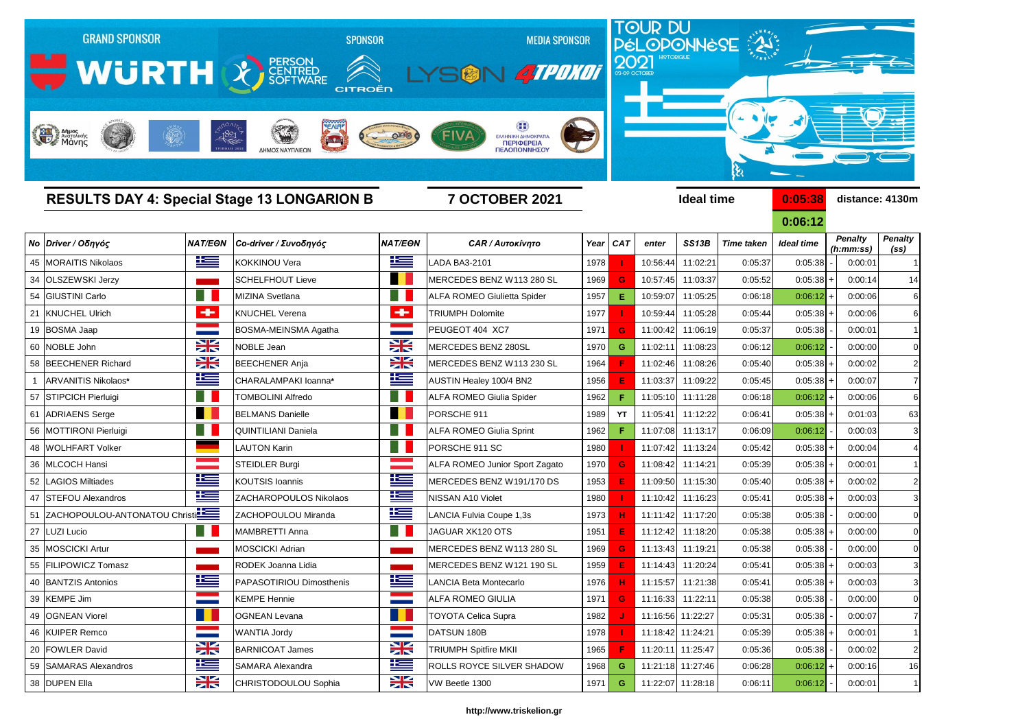

## *Νο Driver / Οδηγός NAT/EΘΝ Co-driver / Συνοδηγός NAT/EΘΝ CAR / Αυτοκίνητο Year CAT enter SS13Β Time taken Ideal time* 45 MORAITIS Nikolaos KOKKINOU Vera LADA BA3-2101 1978  **I**  10:56:44 11:02:21 0:05:37 0:05:38 - 0:00:01 1 34 OLSZEWSKI Jerzy **Schelfhout Lieve MERCEDES BENZ W113 280 SL** 1969 **G** 10:57:45 11:03:37 0:05:52 54 GIUSTINI Carlo MIZINA Svetlana ALFA ROMEO Giulietta Spider 1957 **E** 10:59:07 11:05:25 0:06:18 21 KNUCHEL Ulrich KNUCHEL Verena TRIUMPH Dolomite 1977  **I**  10:59:44 11:05:28 0:05:44 0:05:38 + 0:00:06 6 19 BOSMA Jaap BOSMA-MEINSMA Agatha PEUGEOT 404 XC7 1971 <mark> G </mark> 11:00:42 11:06:19 0:05:37 0:05:38 - 0:00:01 1 60 NOBLE John NOBLE Jean MERCEDES BENZ 280SL 1970 **G** 11:02:11 11:08:23 0:06:12 0:06:12 - 0:00:00 0 58 BEECHENER Richard **BEECHENER Anja** BEECHENER Anja MERCEDES BENZ W113 230 SL 1964 **F** 11:02:46 11:08:26 0:05:40 1 ARVANITIS Nikolaos\* **CHARALAMPAKI Ioanna**\* **AUSTIN Healey 100/4 BN2** 1956 **E** 11:03:37 11:09:22 0:05:45 57 STIPCICH Pierluigi TOMBOLINI Alfredo ALFA ROMEO Giulia Spider 1962  **F**  11:05:10 11:11:28 0:06:18 0:06:12 + 0:00:06 6 61 ADRIAENS Serge BELMANS Danielle PORSCHE 911 1989  **YT**  11:05:41 11:12:22 0:06:41 0:05:38 + 0:01:03 63 56 |MOTTIRONI Pierluigi | |QUINTILIANI Daniela | | ALFA ROMEO Giulia Sprint | 1962 | F | 11:07:08 | 11:13:17 0:06:09 0:06:12 - | 0:00:03 3 48 WOLHFART Volker LAUTON Karin PORSCHE 911 SC 1980  **I**  11:07:42 11:13:24 0:05:42 0:05:38 + 0:00:04 4 36 |MLCOCH Hansi **STEIDLER Burgi ALFA ROMEO Junior Sport Zagato** | 1970 **G** 11:08:42 | 11:14:21 0:05:39 52 LAGIOS Miltiades **KOUTSIS Ioannis MERCEDES BENZ W191/170 DS** 1953 **E** 11:09:50 11:15:30 0:05:40 47 STEFOU Alexandros **Nicolae Alexandros** Nikolaos Nikolaos Nikolaos Nikolaos Nikolaos Nikolaos Nikolaos Nikolaos Nikolaos Nikolaos Nikolaos Nikolaos Nikolaos Nikolaos 1980 11:10:42 11:10:42 11:16:23 0:05:41 51 ZACHOPOULOU-ANTONATOU Christi**na Land Executor Coupe and LANCIA Fulvia Coupe 1,3s** 1973 **H** 11:11:42 11:17:20 0:05:38 27 LUZI Lucio MAMBRETTI Anna JAGUAR XK120 OTS 1951 **E** 11:12:42 11:18:20 0:05:38 0:05:38 + 0:00:00 0 35 MOSCICKI Artur MOSCICKI Adrian MOSCICKI Adrian MERCEDES BENZ W113 280 SL 1969 **G** 11:13:43 11:19:21 0:05:38 55 FILIPOWICZ Tomasz RODEK Joanna Lidia MERCEDES BENZ W121 190 SL 1959 **E** 11:14:43 11:20:24 0:05:41 0:05:38 + 0:00:03 3 40 BANTZIS Antonios **PARASOTIRIOU Dimosthenis LANCIA Beta Montecarlo LANCIA Beta Montecarlo LANCIA Beta Montecarlo** 39 KEMPE Jim KEMPE Hennie 1971 <mark> G </mark> 11:16:33 11:22:11 0:05:38 0:05:38 0:00:00 0 49 OGNEAN Viorel OGNEAN Levana TOYOTA Celica Supra 1982  **J**  11:16:56 11:22:27 0:05:31 0:05:38 - 0:00:07 7 46 KUIPER Remco WANTIA Jordy DATSUN 180B 1978  **I**  11:18:42 11:24:21 0:05:39 0:05:38 + 0:00:01 1 20 FOWLER David BARNICOAT James TRIUMPH Spitfire MKII 1965 <mark> F </mark> 11:20:11 11:25:47 0:05:36 0:05:38 0:00:02 2 59 SAMARAS Alexandros SAMARA Alexandra SAMARA Alexandra **SAMARA Alexandra** ROLLS ROYCE SILVER SHADOW 1968 **G** 11:21:18 11:27:46 0:06:28 38 DUPEN Ella **CHRISTODOULOU Sophia** VW Beetle 1300 1971 **G** 11:22:07 11:28:18 0:06:11 0:06:12 0:00:01

| 0:05:38           | distance: 4130m              |                             |                        |  |  |  |  |  |
|-------------------|------------------------------|-----------------------------|------------------------|--|--|--|--|--|
| 0:06:12           |                              |                             |                        |  |  |  |  |  |
| <b>Ideal time</b> |                              | <b>Penalty</b><br>(h:mm:ss) | <b>Penalty</b><br>(ss) |  |  |  |  |  |
| 0:05:38           |                              | 0:00:01                     | 1                      |  |  |  |  |  |
| 0:05:38           | ÷.                           | 0:00:14                     | 14                     |  |  |  |  |  |
| 0:06:12           | $\pmb{+}$                    | 0:00:06                     | 6                      |  |  |  |  |  |
| 0:05:38           | $\ddot{}$                    | 0:00:06                     | 6                      |  |  |  |  |  |
| 0:05:38           | $\overline{\phantom{0}}$     | 0:00:01                     | 1                      |  |  |  |  |  |
| 0:06:12           | $\qquad \qquad \blacksquare$ | 0:00:00                     | 0                      |  |  |  |  |  |
| 0:05:38           | $\ddot{}$                    | 0:00:02                     | $\overline{c}$         |  |  |  |  |  |
| 0:05:38           | $\ddot{}$                    | 0:00:07                     | 7                      |  |  |  |  |  |
| 0:06:12           | $\ddot{}$                    | 0:00:06                     | 6                      |  |  |  |  |  |
| 0:05:38           | $\pm$                        | 0:01:03                     | 63                     |  |  |  |  |  |
| 0:06:12           | $\overline{a}$               | 0:00:03                     | 3                      |  |  |  |  |  |
| 0:05:38           | $\ddot{}$                    | 0:00:04                     | 4                      |  |  |  |  |  |
| 0:05:38           | $\ddot{}$                    | 0:00:01                     | 1                      |  |  |  |  |  |
| 0:05:38           | $+$                          | 0:00:02                     | $\overline{c}$         |  |  |  |  |  |
| 0:05:38           | $\ddot{}$                    | 0:00:03                     | 3                      |  |  |  |  |  |
| 0:05:38           | $\overline{a}$               | 0:00:00                     | 0                      |  |  |  |  |  |
| 0:05:38           | $\ddot{}$                    | 0:00:00                     | 0                      |  |  |  |  |  |
| 0:05:38           | $\overline{\phantom{a}}$     | 0:00:00                     | 0                      |  |  |  |  |  |
| 0:05:38           | $\ddot{}$                    | 0:00:03                     | 3                      |  |  |  |  |  |
| 0:05:38           | $\mathbf{I}$                 | 0:00:03                     | 3                      |  |  |  |  |  |
| 0:05:38           | -                            | 0:00:00                     | 0                      |  |  |  |  |  |
| 0:05:38           | -                            | 0:00:07                     | 7                      |  |  |  |  |  |
| 0:05:38           | $\ddot{}$                    | 0:00:01                     | 1                      |  |  |  |  |  |
| 0:05:38           |                              | 0:00:02                     | $\overline{c}$         |  |  |  |  |  |
| 0:06:12           | +                            | 0:00:16                     | 16                     |  |  |  |  |  |
| 0.06.12           |                              | 0.00.01                     | 1                      |  |  |  |  |  |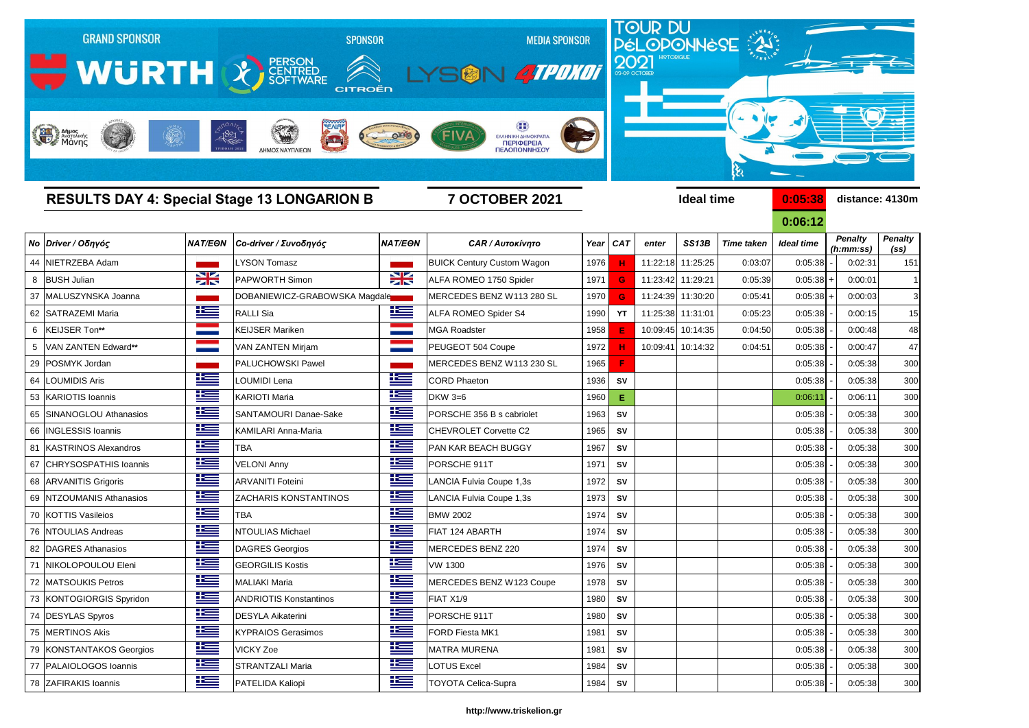

**0:06:12** *Penalty (ss) Penalty (h:mm:ss)*

|    |                           |                |                               |                |                                   |      |                 |          |                   |                   | <u>0:06:12</u>    |                             |                                     |
|----|---------------------------|----------------|-------------------------------|----------------|-----------------------------------|------|-----------------|----------|-------------------|-------------------|-------------------|-----------------------------|-------------------------------------|
|    | <b>No Driver / Οδηγός</b> | <b>NAT/EON</b> | Co-driver / Συνοδηγός         | <b>NAT/EON</b> | <b>CAR / Αυτοκίνητο</b>           | Year | CA <sub>7</sub> | enter    | SS13B             | <b>Time taken</b> | <b>Ideal time</b> | <b>Penalty</b><br>(h:mm:ss) | <b>Penalty</b><br>(s <sub>s</sub> ) |
|    | 44 NIETRZEBA Adam         |                | <b>LYSON Tomasz</b>           |                | <b>BUICK Century Custom Wagon</b> | 1976 | н               |          | 11:22:18 11:25:25 | 0:03:07           | 0:05:38           | 0:02:31                     | 151                                 |
|    | 8 BUSH Julian             | X              | <b>PAPWORTH Simon</b>         | X              | ALFA ROMEO 1750 Spider            | 1971 | G               | 11:23:42 | 11:29:21          | 0:05:39           | $0:05:38$ +       | 0:00:01                     | -1                                  |
|    | 37 MALUSZYNSKA Joanna     |                | DOBANIEWICZ-GRABOWSKA Magdale |                | MERCEDES BENZ W113 280 SL         | 1970 | G               | 11:24:39 | 11:30:20          | 0:05:41           | $0:05:38$ +       | 0:00:03                     | 3                                   |
|    | 62 SATRAZEMI Maria        | <u> is a</u>   | <b>RALLI Sia</b>              | <u>ik se</u>   | ALFA ROMEO Spider S4              | 1990 | <b>YT</b>       | 11:25:38 | 11:31:01          | 0:05:23           | 0:05:38           | 0:00:15                     | 15                                  |
|    | 6 KEIJSER Ton**           |                | <b>KEIJSER Mariken</b>        |                | <b>MGA Roadster</b>               | 1958 | E               |          | 10:09:45 10:14:35 | 0:04:50           | 0:05:38           | 0:00:48                     | 48                                  |
|    | 5   VAN ZANTEN Edward**   |                | <b>VAN ZANTEN Mirjam</b>      |                | PEUGEOT 504 Coupe                 | 1972 |                 | 10:09:41 | 10:14:32          | 0:04:51           | 0:05:38           | 0:00:47                     | 47                                  |
|    | 29 POSMYK Jordan          |                | <b>PALUCHOWSKI Pawel</b>      |                | MERCEDES BENZ W113 230 SL         | 1965 | F               |          |                   |                   | 0:05:38           | 0:05:38                     | <b>300</b>                          |
| 64 | <b>LOUMIDIS Aris</b>      | <u> is a</u>   | LOUMIDI Lena                  | <u>te</u>      | <b>CORD Phaeton</b>               | 1936 | SV              |          |                   |                   | 0:05:38           | 0:05:38                     | 300                                 |
|    | 53 KARIOTIS Ioannis       | <u>is –</u>    | <b>KARIOTI Maria</b>          | ٢              | <b>DKW 3=6</b>                    | 1960 | Ε               |          |                   |                   | 0:06:11           | 0:06:11                     | 30 <sub>C</sub>                     |
|    | 65 SINANOGLOU Athanasios  | 些              | <b>SANTAMOURI Danae-Sake</b>  | 些              | PORSCHE 356 B s cabriolet         | 1963 | <b>SV</b>       |          |                   |                   | 0:05:38           | 0:05:38                     | 300                                 |
|    | 66   INGLESSIS Ioannis    | 些              | <b>KAMILARI Anna-Maria</b>    | 些              | CHEVROLET Corvette C2             | 1965 | SV              |          |                   |                   | 0:05:38           | 0:05:38                     | <b>300</b>                          |
|    | 81 KASTRINOS Alexandros   | 些              | <b>TBA</b>                    | <u> اکتا</u>   | <b>PAN KAR BEACH BUGGY</b>        | 1967 | <b>SV</b>       |          |                   |                   | 0:05:38           | 0:05:38                     | 300                                 |
|    | 67 CHRYSOSPATHIS Ioannis  | 些              | <b>VELONI Anny</b>            | 些              | PORSCHE 911T                      | 1971 | <b>SV</b>       |          |                   |                   | 0:05:38           | 0:05:38                     | 30 <sub>C</sub>                     |
|    | 68 ARVANITIS Grigoris     | 些              | <b>ARVANITI Foteini</b>       | <u>tes</u>     | LANCIA Fulvia Coupe 1,3s          | 1972 | SV              |          |                   |                   | 0:05:38           | 0:05:38                     | 300                                 |
|    | 69 NTZOUMANIS Athanasios  | <u>is </u>     | <b>ZACHARIS KONSTANTINOS</b>  | 些              | LANCIA Fulvia Coupe 1,3s          | 1973 | SV              |          |                   |                   | 0:05:38           | 0:05:38                     | <b>300</b>                          |
|    | 70 KOTTIS Vasileios       | <u>te </u>     | <b>TBA</b>                    | <u>ik –</u>    | <b>BMW 2002</b>                   | 1974 | SV              |          |                   |                   | 0:05:38           | 0:05:38                     | 300                                 |
|    | 76 NTOULIAS Andreas       | <u>te </u>     | <b>NTOULIAS Michael</b>       | 些              | FIAT 124 ABARTH                   | 1974 | <b>SV</b>       |          |                   |                   | 0:05:38           | 0:05:38                     | <b>300</b>                          |
|    | 82   DAGRES Athanasios    | ١Ξ             | <b>DAGRES Georgios</b>        | 些              | MERCEDES BENZ 220                 | 1974 | SV              |          |                   |                   | 0:05:38           | 0:05:38                     | 300                                 |
|    | 71 NIKOLOPOULOU Eleni     | 些              | <b>GEORGILIS Kostis</b>       | Ë              | <b>VW 1300</b>                    | 1976 | SV              |          |                   |                   | 0:05:38           | 0:05:38                     | 300                                 |
|    | 72 MATSOUKIS Petros       | 些              | <b>MALIAKI Maria</b>          | 些              | MERCEDES BENZ W123 Coupe          | 1978 | SV              |          |                   |                   | 0:05:38           | 0:05:38                     | <b>300</b>                          |
|    | 73 KONTOGIORGIS Spyridon  | <u>is </u>     | <b>ANDRIOTIS Konstantinos</b> | 些              | FIAT X1/9                         | 1980 | <b>SV</b>       |          |                   |                   | 0:05:38           | 0:05:38                     | 300                                 |
|    | 74 DESYLAS Spyros         | <u>i s</u>     | <b>DESYLA Aikaterini</b>      | <u>iks</u>     | PORSCHE 911T                      | 1980 | <b>SV</b>       |          |                   |                   | 0:05:38           | 0:05:38                     | 300                                 |
|    | 75 MERTINOS Akis          | Ħ              | <b>KYPRAIOS Gerasimos</b>     | <u>ik –</u>    | FORD Fiesta MK1                   | 1981 | SV              |          |                   |                   | 0:05:38           | 0:05:38                     | 300                                 |
|    | 79 KONSTANTAKOS Georgios  | <u>is </u>     | <b>VICKY Zoe</b>              | <u>ika </u>    | <b>MATRA MURENA</b>               | 1981 | SV              |          |                   |                   | 0:05:38           | 0:05:38                     | 300                                 |
|    | 77 PALAIOLOGOS Ioannis    | 些              | <b>STRANTZALI Maria</b>       | 些              | LOTUS Excel                       | 1984 | SV              |          |                   |                   | 0:05:38           | 0:05:38                     | 30 <sub>C</sub>                     |
|    | 78 ZAFIRAKIS Ioannis      | 上三             | PATELIDA Kaliopi              | <u>is –</u>    | <b>TOYOTA Celica-Supra</b>        | 1984 | <b>SV</b>       |          |                   |                   | 0:05:38           | 0:05:38                     | 300                                 |